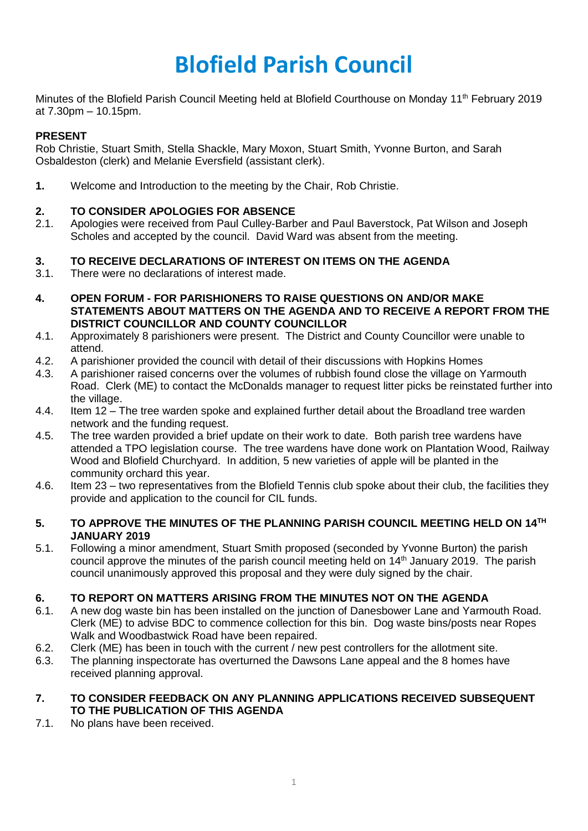# **Blofield Parish Council**

Minutes of the Blofield Parish Council Meeting held at Blofield Courthouse on Monday 11<sup>th</sup> February 2019 at 7.30pm – 10.15pm.

# **PRESENT**

Rob Christie, Stuart Smith, Stella Shackle, Mary Moxon, Stuart Smith, Yvonne Burton, and Sarah Osbaldeston (clerk) and Melanie Eversfield (assistant clerk).

**1.** Welcome and Introduction to the meeting by the Chair, Rob Christie.

# **2. TO CONSIDER APOLOGIES FOR ABSENCE**

2.1. Apologies were received from Paul Culley-Barber and Paul Baverstock, Pat Wilson and Joseph Scholes and accepted by the council. David Ward was absent from the meeting.

## **3. TO RECEIVE DECLARATIONS OF INTEREST ON ITEMS ON THE AGENDA**

- 3.1. There were no declarations of interest made.
- **4. OPEN FORUM - FOR PARISHIONERS TO RAISE QUESTIONS ON AND/OR MAKE STATEMENTS ABOUT MATTERS ON THE AGENDA AND TO RECEIVE A REPORT FROM THE DISTRICT COUNCILLOR AND COUNTY COUNCILLOR**
- 4.1. Approximately 8 parishioners were present. The District and County Councillor were unable to attend.
- 4.2. A parishioner provided the council with detail of their discussions with Hopkins Homes
- 4.3. A parishioner raised concerns over the volumes of rubbish found close the village on Yarmouth Road. Clerk (ME) to contact the McDonalds manager to request litter picks be reinstated further into the village.
- 4.4. Item 12 The tree warden spoke and explained further detail about the Broadland tree warden network and the funding request.
- 4.5. The tree warden provided a brief update on their work to date. Both parish tree wardens have attended a TPO legislation course. The tree wardens have done work on Plantation Wood, Railway Wood and Blofield Churchyard. In addition, 5 new varieties of apple will be planted in the community orchard this year.
- 4.6. Item 23 two representatives from the Blofield Tennis club spoke about their club, the facilities they provide and application to the council for CIL funds.

#### 5. TO APPROVE THE MINUTES OF THE PLANNING PARISH COUNCIL MEETING HELD ON 14TH **JANUARY 2019**

5.1. Following a minor amendment, Stuart Smith proposed (seconded by Yvonne Burton) the parish council approve the minutes of the parish council meeting held on 14<sup>th</sup> January 2019. The parish council unanimously approved this proposal and they were duly signed by the chair.

# **6. TO REPORT ON MATTERS ARISING FROM THE MINUTES NOT ON THE AGENDA**

- 6.1. A new dog waste bin has been installed on the junction of Danesbower Lane and Yarmouth Road. Clerk (ME) to advise BDC to commence collection for this bin. Dog waste bins/posts near Ropes Walk and Woodbastwick Road have been repaired.
- 6.2. Clerk (ME) has been in touch with the current / new pest controllers for the allotment site.
- 6.3. The planning inspectorate has overturned the Dawsons Lane appeal and the 8 homes have received planning approval.

#### **7. TO CONSIDER FEEDBACK ON ANY PLANNING APPLICATIONS RECEIVED SUBSEQUENT TO THE PUBLICATION OF THIS AGENDA**

7.1. No plans have been received.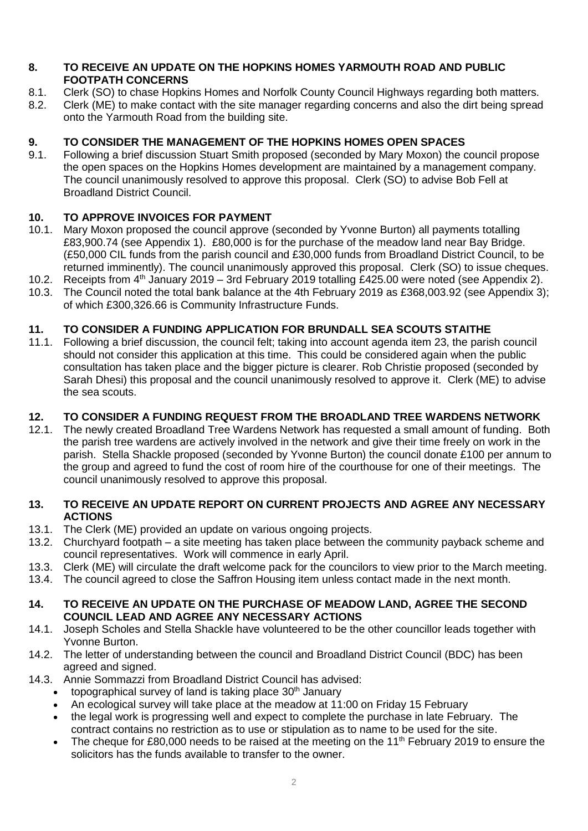## **8. TO RECEIVE AN UPDATE ON THE HOPKINS HOMES YARMOUTH ROAD AND PUBLIC FOOTPATH CONCERNS**

- 8.1. Clerk (SO) to chase Hopkins Homes and Norfolk County Council Highways regarding both matters.
- 8.2. Clerk (ME) to make contact with the site manager regarding concerns and also the dirt being spread onto the Yarmouth Road from the building site.

# **9. TO CONSIDER THE MANAGEMENT OF THE HOPKINS HOMES OPEN SPACES**

9.1. Following a brief discussion Stuart Smith proposed (seconded by Mary Moxon) the council propose the open spaces on the Hopkins Homes development are maintained by a management company. The council unanimously resolved to approve this proposal. Clerk (SO) to advise Bob Fell at Broadland District Council.

# **10. TO APPROVE INVOICES FOR PAYMENT**

- 10.1. Mary Moxon proposed the council approve (seconded by Yvonne Burton) all payments totalling £83,900.74 (see Appendix 1). £80,000 is for the purchase of the meadow land near Bay Bridge. (£50,000 CIL funds from the parish council and £30,000 funds from Broadland District Council, to be returned imminently). The council unanimously approved this proposal. Clerk (SO) to issue cheques.
- 10.2. Receipts from 4<sup>th</sup> January 2019 3rd February 2019 totalling £425.00 were noted (see Appendix 2).
- 10.3. The Council noted the total bank balance at the 4th February 2019 as £368,003.92 (see Appendix 3); of which £300,326.66 is Community Infrastructure Funds.

# **11. TO CONSIDER A FUNDING APPLICATION FOR BRUNDALL SEA SCOUTS STAITHE**

11.1. Following a brief discussion, the council felt; taking into account agenda item 23, the parish council should not consider this application at this time. This could be considered again when the public consultation has taken place and the bigger picture is clearer. Rob Christie proposed (seconded by Sarah Dhesi) this proposal and the council unanimously resolved to approve it. Clerk (ME) to advise the sea scouts.

# **12. TO CONSIDER A FUNDING REQUEST FROM THE BROADLAND TREE WARDENS NETWORK**

12.1. The newly created Broadland Tree Wardens Network has requested a small amount of funding. Both the parish tree wardens are actively involved in the network and give their time freely on work in the parish. Stella Shackle proposed (seconded by Yvonne Burton) the council donate £100 per annum to the group and agreed to fund the cost of room hire of the courthouse for one of their meetings. The council unanimously resolved to approve this proposal.

## **13. TO RECEIVE AN UPDATE REPORT ON CURRENT PROJECTS AND AGREE ANY NECESSARY ACTIONS**

- 13.1. The Clerk (ME) provided an update on various ongoing projects.
- 13.2. Churchyard footpath a site meeting has taken place between the community payback scheme and council representatives. Work will commence in early April.
- 13.3. Clerk (ME) will circulate the draft welcome pack for the councilors to view prior to the March meeting.
- 13.4. The council agreed to close the Saffron Housing item unless contact made in the next month.

## **14. TO RECEIVE AN UPDATE ON THE PURCHASE OF MEADOW LAND, AGREE THE SECOND COUNCIL LEAD AND AGREE ANY NECESSARY ACTIONS**

- 14.1. Joseph Scholes and Stella Shackle have volunteered to be the other councillor leads together with Yvonne Burton.
- 14.2. The letter of understanding between the council and Broadland District Council (BDC) has been agreed and signed.
- 14.3. Annie Sommazzi from Broadland District Council has advised:
	- topographical survey of land is taking place  $30<sup>th</sup>$  January
	- An ecological survey will take place at the meadow at 11:00 on Friday 15 February
	- the legal work is progressing well and expect to complete the purchase in late February. The contract contains no restriction as to use or stipulation as to name to be used for the site.
	- The cheque for £80,000 needs to be raised at the meeting on the 11<sup>th</sup> February 2019 to ensure the solicitors has the funds available to transfer to the owner.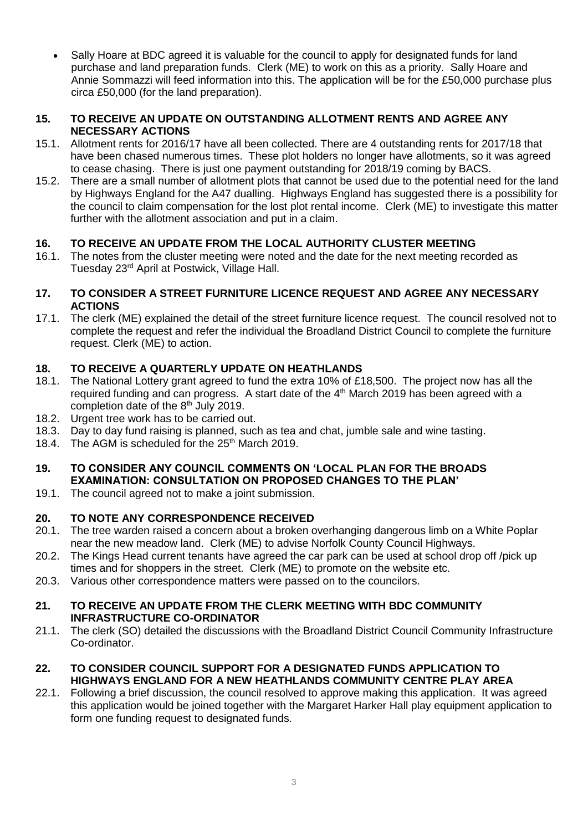• Sally Hoare at BDC agreed it is valuable for the council to apply for designated funds for land purchase and land preparation funds. Clerk (ME) to work on this as a priority. Sally Hoare and Annie Sommazzi will feed information into this. The application will be for the £50,000 purchase plus circa £50,000 (for the land preparation).

## **15. TO RECEIVE AN UPDATE ON OUTSTANDING ALLOTMENT RENTS AND AGREE ANY NECESSARY ACTIONS**

- 15.1. Allotment rents for 2016/17 have all been collected. There are 4 outstanding rents for 2017/18 that have been chased numerous times. These plot holders no longer have allotments, so it was agreed to cease chasing. There is just one payment outstanding for 2018/19 coming by BACS.
- 15.2. There are a small number of allotment plots that cannot be used due to the potential need for the land by Highways England for the A47 dualling. Highways England has suggested there is a possibility for the council to claim compensation for the lost plot rental income. Clerk (ME) to investigate this matter further with the allotment association and put in a claim.

# **16. TO RECEIVE AN UPDATE FROM THE LOCAL AUTHORITY CLUSTER MEETING**

16.1. The notes from the cluster meeting were noted and the date for the next meeting recorded as Tuesday 23rd April at Postwick, Village Hall.

## **17. TO CONSIDER A STREET FURNITURE LICENCE REQUEST AND AGREE ANY NECESSARY ACTIONS**

17.1. The clerk (ME) explained the detail of the street furniture licence request. The council resolved not to complete the request and refer the individual the Broadland District Council to complete the furniture request. Clerk (ME) to action.

# **18. TO RECEIVE A QUARTERLY UPDATE ON HEATHLANDS**

- 18.1. The National Lottery grant agreed to fund the extra 10% of £18,500. The project now has all the required funding and can progress. A start date of the  $4<sup>th</sup>$  March 2019 has been agreed with a completion date of the 8<sup>th</sup> July 2019.
- 18.2. Urgent tree work has to be carried out.
- 18.3. Day to day fund raising is planned, such as tea and chat, jumble sale and wine tasting.
- 18.4. The AGM is scheduled for the 25<sup>th</sup> March 2019.

# **19. TO CONSIDER ANY COUNCIL COMMENTS ON 'LOCAL PLAN FOR THE BROADS EXAMINATION: CONSULTATION ON PROPOSED CHANGES TO THE PLAN'**

19.1. The council agreed not to make a joint submission.

# **20. TO NOTE ANY CORRESPONDENCE RECEIVED**

- 20.1. The tree warden raised a concern about a broken overhanging dangerous limb on a White Poplar near the new meadow land. Clerk (ME) to advise Norfolk County Council Highways.
- 20.2. The Kings Head current tenants have agreed the car park can be used at school drop off /pick up times and for shoppers in the street. Clerk (ME) to promote on the website etc.
- 20.3. Various other correspondence matters were passed on to the councilors.

#### **21. TO RECEIVE AN UPDATE FROM THE CLERK MEETING WITH BDC COMMUNITY INFRASTRUCTURE CO-ORDINATOR**

21.1. The clerk (SO) detailed the discussions with the Broadland District Council Community Infrastructure Co-ordinator.

## **22. TO CONSIDER COUNCIL SUPPORT FOR A DESIGNATED FUNDS APPLICATION TO HIGHWAYS ENGLAND FOR A NEW HEATHLANDS COMMUNITY CENTRE PLAY AREA**

22.1. Following a brief discussion, the council resolved to approve making this application. It was agreed this application would be joined together with the Margaret Harker Hall play equipment application to form one funding request to designated funds.